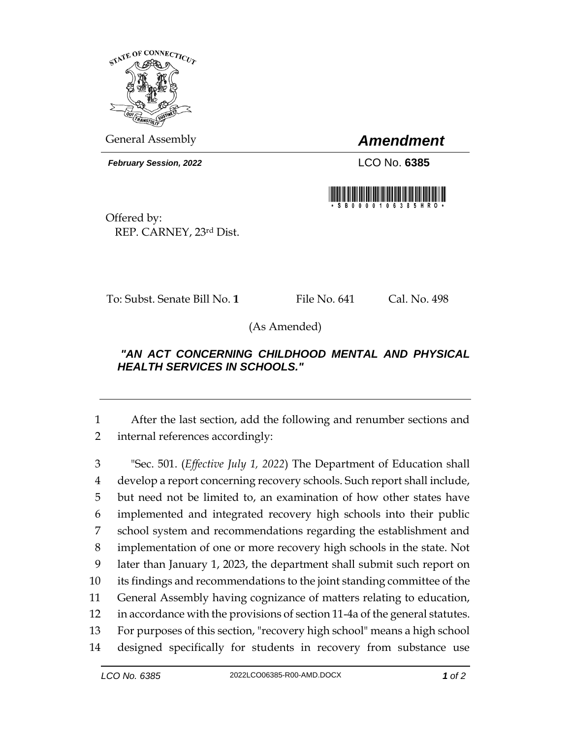

General Assembly *Amendment*

*February Session, 2022* LCO No. **6385**



Offered by: REP. CARNEY, 23rd Dist.

To: Subst. Senate Bill No. 1 File No. 641 Cal. No. 498

(As Amended)

## *"AN ACT CONCERNING CHILDHOOD MENTAL AND PHYSICAL HEALTH SERVICES IN SCHOOLS."*

 After the last section, add the following and renumber sections and internal references accordingly:

 "Sec. 501. (*Effective July 1, 2022*) The Department of Education shall develop a report concerning recovery schools. Such report shall include, but need not be limited to, an examination of how other states have implemented and integrated recovery high schools into their public school system and recommendations regarding the establishment and implementation of one or more recovery high schools in the state. Not later than January 1, 2023, the department shall submit such report on its findings and recommendations to the joint standing committee of the General Assembly having cognizance of matters relating to education, in accordance with the provisions of section 11-4a of the general statutes. For purposes of this section, "recovery high school" means a high school designed specifically for students in recovery from substance use